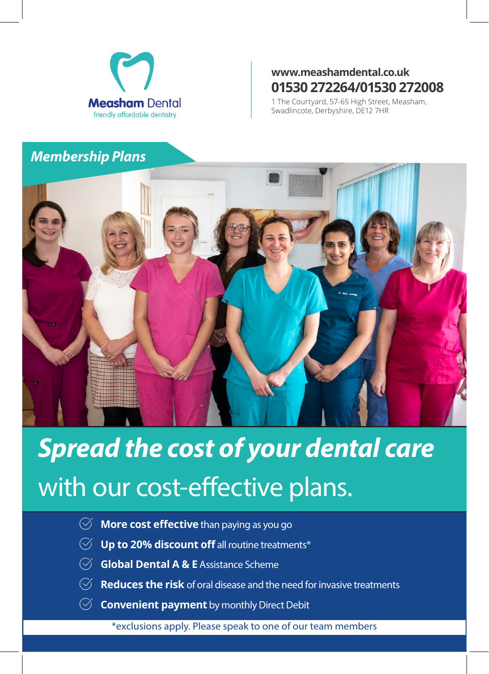

### **www.meashamdental.co.uk 01530 272264/01530 272008**

1 The Courtyard, 57-65 High Street, Measham, Swadlincote, Derbyshire, DE12 7HR

# *Membership Plans*



*Spread the cost of your dental care*  with our cost-effective plans.

- $\heartsuit$  **More cost effective** than paying as you go
- $\heartsuit$  **Up to 20% discount off** all routine treatments\*
- **Global Dental A & E** Assistance Scheme
- $\heartsuit$  **Reduces the risk** of oral disease and the need for invasive treatments
- $\heartsuit$  **Convenient payment** by monthly Direct Debit

\*exclusions apply. Please speak to one of our team members